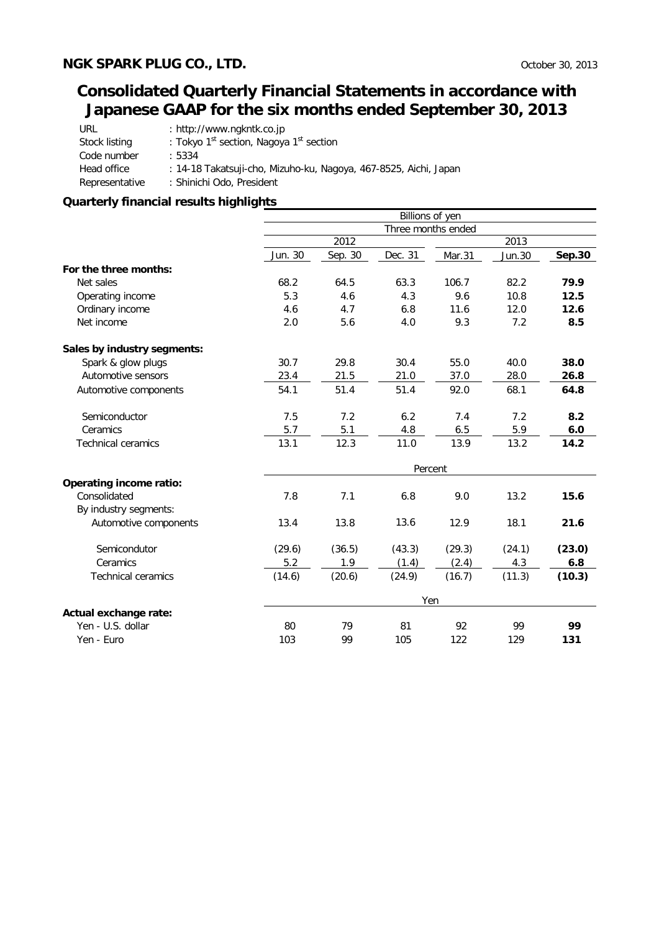# **Consolidated Quarterly Financial Statements in accordance with Japanese GAAP for the six months ended September 30, 2013**

| URL.           | : http://www.ngkntk.co.jp                                        |
|----------------|------------------------------------------------------------------|
| Stock listing  | : Tokyo 1 <sup>st</sup> section, Nagoya 1 <sup>st</sup> section  |
| Code number    | : 5334                                                           |
| Head office    | : 14-18 Takatsuji-cho, Mizuho-ku, Nagoya, 467-8525, Aichi, Japan |
| Representative | : Shinichi Odo, President                                        |
|                |                                                                  |

# **Quarterly financial results highlights**

|                             | Billions of yen    |         |         |         |        |        |  |
|-----------------------------|--------------------|---------|---------|---------|--------|--------|--|
|                             | Three months ended |         |         |         |        |        |  |
|                             | 2012               |         |         | 2013    |        |        |  |
|                             | Jun. 30            | Sep. 30 | Dec. 31 | Mar.31  | Jun.30 | Sep.30 |  |
| For the three months:       |                    |         |         |         |        |        |  |
| Net sales                   | 68.2               | 64.5    | 63.3    | 106.7   | 82.2   | 79.9   |  |
| Operating income            | 5.3                | 4.6     | 4.3     | 9.6     | 10.8   | 12.5   |  |
| Ordinary income             | 4.6                | 4.7     | 6.8     | 11.6    | 12.0   | 12.6   |  |
| Net income                  | 2.0                | 5.6     | 4.0     | 9.3     | 7.2    | 8.5    |  |
| Sales by industry segments: |                    |         |         |         |        |        |  |
| Spark & glow plugs          | 30.7               | 29.8    | 30.4    | 55.0    | 40.0   | 38.0   |  |
| Automotive sensors          | 23.4               | 21.5    | 21.0    | 37.0    | 28.0   | 26.8   |  |
| Automotive components       | 54.1               | 51.4    | 51.4    | 92.0    | 68.1   | 64.8   |  |
| Semiconductor               | 7.5                | 7.2     | 6.2     | 7.4     | 7.2    | 8.2    |  |
| Ceramics                    | 5.7                | 5.1     | 4.8     | 6.5     | 5.9    | 6.0    |  |
| <b>Technical ceramics</b>   | 13.1               | 12.3    | 11.0    | 13.9    | 13.2   | 14.2   |  |
|                             |                    |         |         | Percent |        |        |  |
| Operating income ratio:     |                    |         |         |         |        |        |  |
| Consolidated                | 7.8                | 7.1     | 6.8     | 9.0     | 13.2   | 15.6   |  |
| By industry segments:       |                    |         |         |         |        |        |  |
| Automotive components       | 13.4               | 13.8    | 13.6    | 12.9    | 18.1   | 21.6   |  |
| Semicondutor                | (29.6)             | (36.5)  | (43.3)  | (29.3)  | (24.1) | (23.0) |  |
| Ceramics                    | 5.2                | 1.9     | (1.4)   | (2.4)   | 4.3    | 6.8    |  |
| <b>Technical ceramics</b>   | (14.6)             | (20.6)  | (24.9)  | (16.7)  | (11.3) | (10.3) |  |
|                             |                    |         |         | Yen     |        |        |  |
| Actual exchange rate:       |                    |         |         |         |        |        |  |
| Yen - U.S. dollar           | 80                 | 79      | 81      | 92      | 99     | 99     |  |
| Yen - Euro                  | 103                | 99      | 105     | 122     | 129    | 131    |  |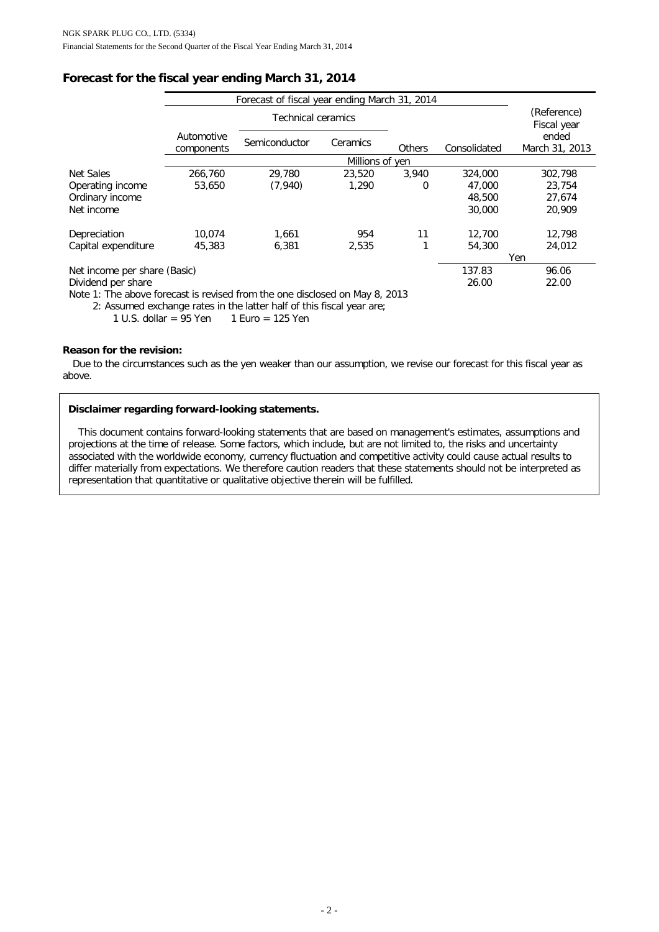# **Forecast for the fiscal year ending March 31, 2014**

|                              | Forecast of fiscal year ending March 31, 2014 |                           |                 |               |              |                            |  |
|------------------------------|-----------------------------------------------|---------------------------|-----------------|---------------|--------------|----------------------------|--|
|                              |                                               | <b>Technical ceramics</b> |                 |               |              | (Reference)<br>Fiscal year |  |
|                              | Automotive<br>components                      | Semiconductor             | Ceramics        | <b>Others</b> | Consolidated | ended<br>March 31, 2013    |  |
|                              |                                               |                           | Millions of yen |               |              |                            |  |
| Net Sales                    | 266,760                                       | 29,780                    | 23,520          | 3.940         | 324,000      | 302,798                    |  |
| Operating income             | 53,650                                        | (7,940)                   | 1,290           | 0             | 47,000       | 23,754                     |  |
| Ordinary income              |                                               |                           |                 |               | 48,500       | 27,674                     |  |
| Net income                   |                                               |                           |                 |               | 30,000       | 20,909                     |  |
| Depreciation                 | 10.074                                        | 1.661                     | 954             | 11            | 12,700       | 12,798                     |  |
| Capital expenditure          | 45,383                                        | 6,381                     | 2,535           |               | 54,300       | 24,012                     |  |
|                              |                                               |                           |                 |               | Yen          |                            |  |
| Net income per share (Basic) |                                               |                           |                 |               | 137.83       | 96.06                      |  |
| Dividend per share           |                                               |                           |                 |               | 26.00        | 22.00                      |  |

Note 1: The above forecast is revised from the one disclosed on May 8, 2013

2: Assumed exchange rates in the latter half of this fiscal year are;<br>1 U.S. dollar =  $95$  Yen 1 Euro = 125 Yen

1 U.S. dollar =  $95$  Yen

#### **Reason for the revision:**

Due to the circumstances such as the yen weaker than our assumption, we revise our forecast for this fiscal year as above.

#### **Disclaimer regarding forward-looking statements.**

This document contains forward-looking statements that are based on management's estimates, assumptions and projections at the time of release. Some factors, which include, but are not limited to, the risks and uncertainty associated with the worldwide economy, currency fluctuation and competitive activity could cause actual results to differ materially from expectations. We therefore caution readers that these statements should not be interpreted as representation that quantitative or qualitative objective therein will be fulfilled.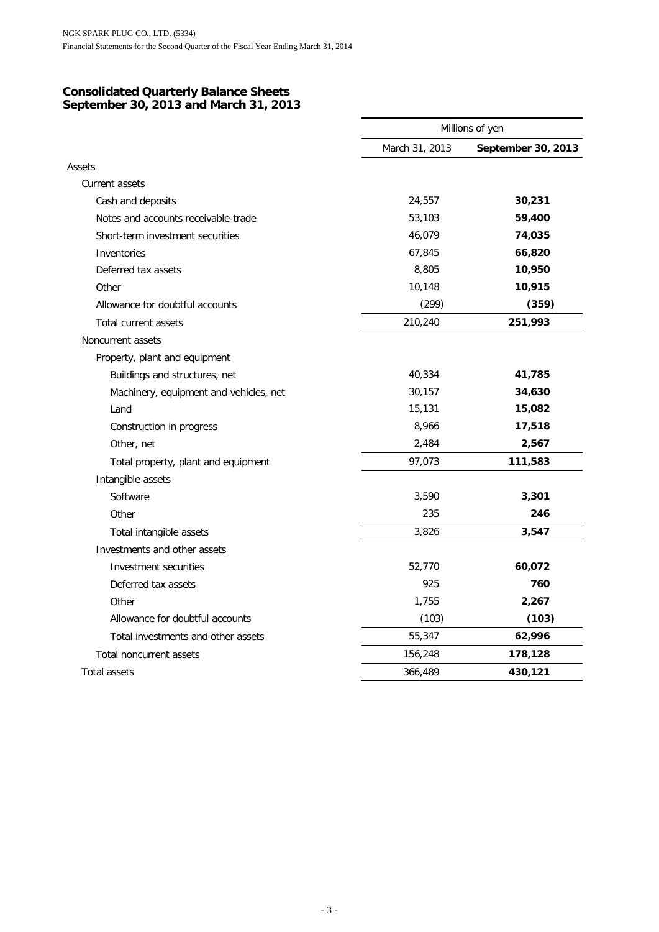## **Consolidated Quarterly Balance Sheets September 30, 2013 and March 31, 2013**

|                                        | Millions of yen |                    |  |  |
|----------------------------------------|-----------------|--------------------|--|--|
|                                        | March 31, 2013  | September 30, 2013 |  |  |
| Assets                                 |                 |                    |  |  |
| Current assets                         |                 |                    |  |  |
| Cash and deposits                      | 24,557          | 30,231             |  |  |
| Notes and accounts receivable-trade    | 53,103          | 59,400             |  |  |
| Short-term investment securities       | 46,079          | 74,035             |  |  |
| Inventories                            | 67,845          | 66,820             |  |  |
| Deferred tax assets                    | 8,805           | 10,950             |  |  |
| Other                                  | 10,148          | 10,915             |  |  |
| Allowance for doubtful accounts        | (299)           | (359)              |  |  |
| Total current assets                   | 210,240         | 251,993            |  |  |
| Noncurrent assets                      |                 |                    |  |  |
| Property, plant and equipment          |                 |                    |  |  |
| Buildings and structures, net          | 40,334          | 41,785             |  |  |
| Machinery, equipment and vehicles, net | 30,157          | 34,630             |  |  |
| Land                                   | 15,131          | 15,082             |  |  |
| Construction in progress               | 8,966           | 17,518             |  |  |
| Other, net                             | 2,484           | 2,567              |  |  |
| Total property, plant and equipment    | 97,073          | 111,583            |  |  |
| Intangible assets                      |                 |                    |  |  |
| Software                               | 3,590           | 3,301              |  |  |
| Other                                  | 235             | 246                |  |  |
| Total intangible assets                | 3,826           | 3,547              |  |  |
| Investments and other assets           |                 |                    |  |  |
| Investment securities                  | 52,770          | 60,072             |  |  |
| Deferred tax assets                    | 925             | 760                |  |  |
| Other                                  | 1,755           | 2,267              |  |  |
| Allowance for doubtful accounts        | (103)           | (103)              |  |  |
| Total investments and other assets     | 55,347          | 62,996             |  |  |
| <b>Total noncurrent assets</b>         | 156,248         | 178,128            |  |  |
| Total assets                           | 366,489         | 430,121            |  |  |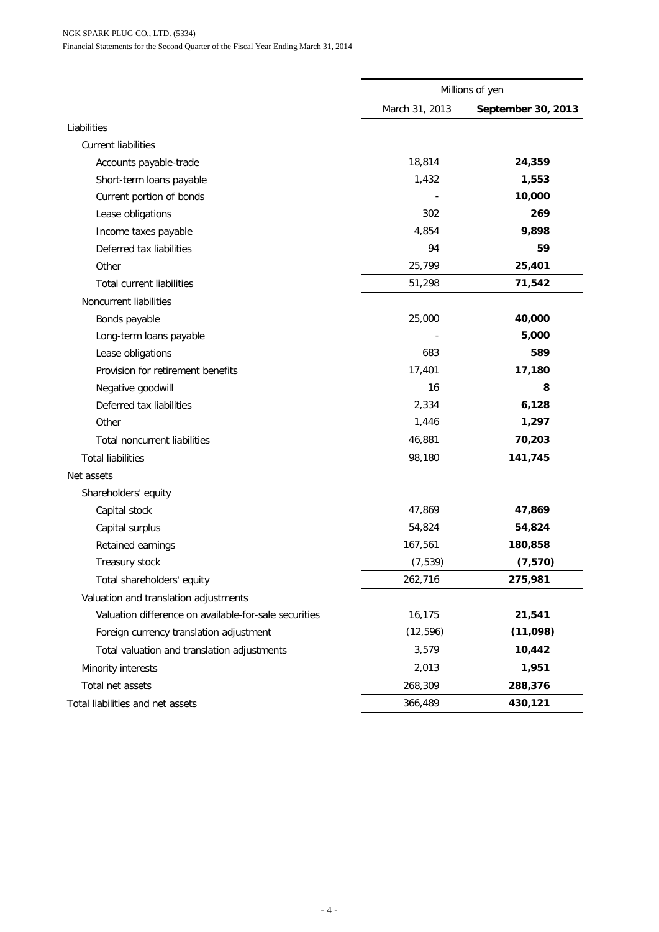#### NGK SPARK PLUG CO., LTD. (5334)

Financial Statements for the Second Quarter of the Fiscal Year Ending March 31, 2014

|                                                       | Millions of yen |                    |  |  |
|-------------------------------------------------------|-----------------|--------------------|--|--|
|                                                       | March 31, 2013  | September 30, 2013 |  |  |
| Liabilities                                           |                 |                    |  |  |
| <b>Current liabilities</b>                            |                 |                    |  |  |
| Accounts payable-trade                                | 18,814          | 24,359             |  |  |
| Short-term loans payable                              | 1,432           | 1,553              |  |  |
| Current portion of bonds                              |                 | 10,000             |  |  |
| Lease obligations                                     | 302             | 269                |  |  |
| Income taxes payable                                  | 4,854           | 9,898              |  |  |
| Deferred tax liabilities                              | 94              | 59                 |  |  |
| Other                                                 | 25,799          | 25,401             |  |  |
| <b>Total current liabilities</b>                      | 51,298          | 71,542             |  |  |
| Noncurrent liabilities                                |                 |                    |  |  |
| Bonds payable                                         | 25,000          | 40,000             |  |  |
| Long-term loans payable                               |                 | 5,000              |  |  |
| Lease obligations                                     | 683             | 589                |  |  |
| Provision for retirement benefits                     | 17,401          | 17,180             |  |  |
| Negative goodwill                                     | 16              | 8                  |  |  |
| Deferred tax liabilities                              | 2,334           | 6,128              |  |  |
| Other                                                 | 1,446           | 1,297              |  |  |
| <b>Total noncurrent liabilities</b>                   | 46,881          | 70,203             |  |  |
| <b>Total liabilities</b>                              | 98,180          | 141,745            |  |  |
| Net assets                                            |                 |                    |  |  |
| Shareholders' equity                                  |                 |                    |  |  |
| Capital stock                                         | 47,869          | 47,869             |  |  |
| Capital surplus                                       | 54,824          | 54,824             |  |  |
| Retained earnings                                     | 167,561         | 180,858            |  |  |
| Treasury stock                                        | (7, 539)        | (7, 570)           |  |  |
| Total shareholders' equity                            | 262,716         | 275,981            |  |  |
| Valuation and translation adjustments                 |                 |                    |  |  |
| Valuation difference on available-for-sale securities | 16,175          | 21,541             |  |  |
| Foreign currency translation adjustment               | (12, 596)       | (11,098)           |  |  |
| Total valuation and translation adjustments           | 3,579           | 10,442             |  |  |
| Minority interests                                    | 2,013           | 1,951              |  |  |
| Total net assets                                      | 268,309         | 288,376            |  |  |
| Total liabilities and net assets                      | 366,489         | 430,121            |  |  |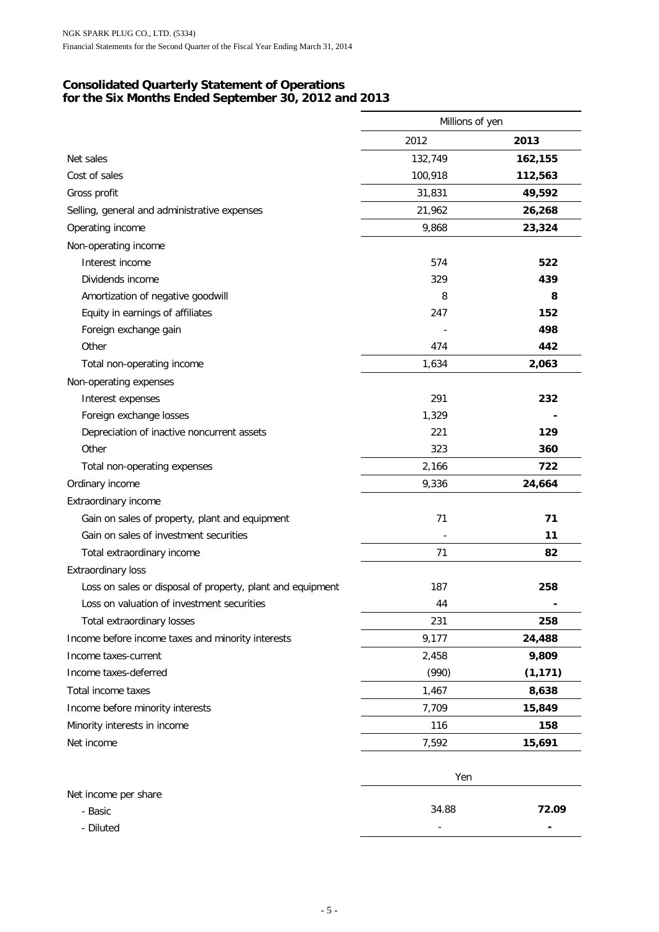### **Consolidated Quarterly Statement of Operations for the Six Months Ended September 30, 2012 and 2013**

|                                                            | Millions of yen |          |  |  |
|------------------------------------------------------------|-----------------|----------|--|--|
|                                                            | 2012            | 2013     |  |  |
| Net sales                                                  | 132,749         | 162,155  |  |  |
| Cost of sales                                              | 100,918         | 112,563  |  |  |
| Gross profit                                               | 31,831          | 49,592   |  |  |
| Selling, general and administrative expenses               | 21,962          | 26,268   |  |  |
| Operating income                                           | 9,868           | 23,324   |  |  |
| Non-operating income                                       |                 |          |  |  |
| Interest income                                            | 574             | 522      |  |  |
| Dividends income                                           | 329             | 439      |  |  |
| Amortization of negative goodwill                          | 8               | 8        |  |  |
| Equity in earnings of affiliates                           | 247             | 152      |  |  |
| Foreign exchange gain                                      |                 | 498      |  |  |
| Other                                                      | 474             | 442      |  |  |
| Total non-operating income                                 | 1,634           | 2,063    |  |  |
| Non-operating expenses                                     |                 |          |  |  |
| Interest expenses                                          | 291             | 232      |  |  |
| Foreign exchange losses                                    | 1,329           |          |  |  |
| Depreciation of inactive noncurrent assets                 | 221             | 129      |  |  |
| Other                                                      | 323             | 360      |  |  |
| Total non-operating expenses                               | 2,166           | 722      |  |  |
| Ordinary income                                            | 9,336           | 24,664   |  |  |
| Extraordinary income                                       |                 |          |  |  |
| Gain on sales of property, plant and equipment             | 71              | 71       |  |  |
| Gain on sales of investment securities                     |                 | 11       |  |  |
| Total extraordinary income                                 | 71              | 82       |  |  |
| <b>Extraordinary loss</b>                                  |                 |          |  |  |
| Loss on sales or disposal of property, plant and equipment | 187             | 258      |  |  |
| Loss on valuation of investment securities                 | 44              |          |  |  |
| Total extraordinary losses                                 | 231             | 258      |  |  |
| Income before income taxes and minority interests          | 9,177           | 24,488   |  |  |
| Income taxes-current                                       | 2,458           | 9,809    |  |  |
| Income taxes-deferred                                      | (990)           | (1, 171) |  |  |
| Total income taxes                                         | 1,467           | 8,638    |  |  |
| Income before minority interests                           | 7,709           | 15,849   |  |  |
| Minority interests in income                               | 116             | 158      |  |  |
| Net income                                                 | 7,592           | 15,691   |  |  |
|                                                            |                 |          |  |  |
|                                                            | Yen             |          |  |  |
| Net income per share                                       |                 |          |  |  |
| - Basic                                                    | 34.88           | 72.09    |  |  |
| - Diluted                                                  |                 |          |  |  |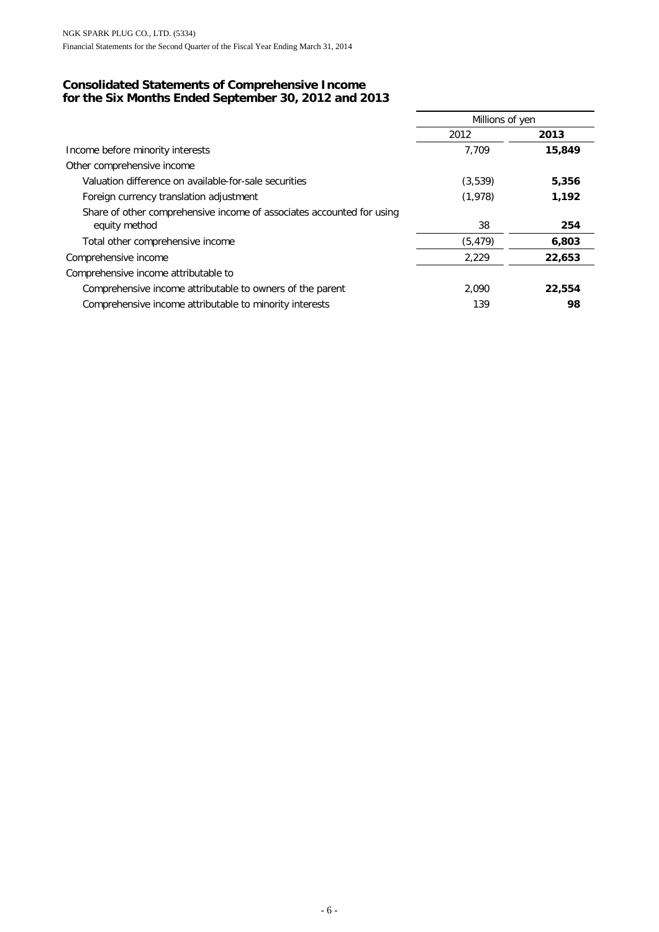### **Consolidated Statements of Comprehensive Income for the Six Months Ended September 30, 2012 and 2013**

|                                                                       | Millions of yen |        |  |
|-----------------------------------------------------------------------|-----------------|--------|--|
|                                                                       | 2012            | 2013   |  |
| Income before minority interests                                      | 7.709<br>15,849 |        |  |
| Other comprehensive income                                            |                 |        |  |
| Valuation difference on available-for-sale securities                 | (3,539)         | 5,356  |  |
| Foreign currency translation adjustment                               | (1,978)         | 1,192  |  |
| Share of other comprehensive income of associates accounted for using |                 |        |  |
| equity method                                                         | 38              | 254    |  |
| Total other comprehensive income                                      | (5, 479)        | 6,803  |  |
| Comprehensive income                                                  | 2,229           | 22,653 |  |
| Comprehensive income attributable to                                  |                 |        |  |
| Comprehensive income attributable to owners of the parent             | 2.090           | 22,554 |  |
| Comprehensive income attributable to minority interests               | 139             | 98     |  |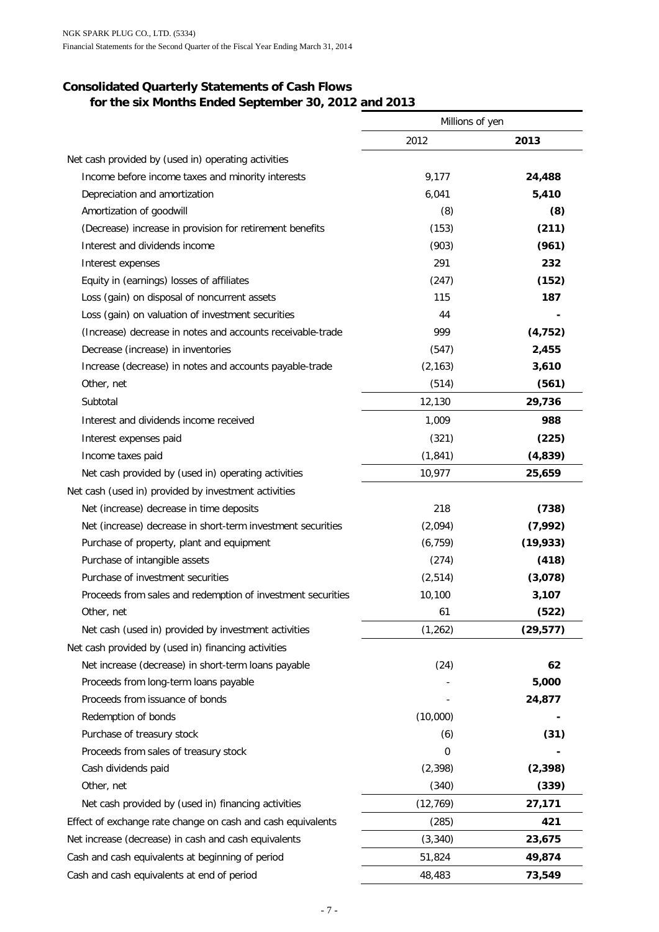# **Consolidated Quarterly Statements of Cash Flows for the six Months Ended September 30, 2012 and 2013**

|                                                             | Millions of yen |           |  |
|-------------------------------------------------------------|-----------------|-----------|--|
|                                                             | 2012            | 2013      |  |
| Net cash provided by (used in) operating activities         |                 |           |  |
| Income before income taxes and minority interests           | 9,177           | 24,488    |  |
| Depreciation and amortization                               | 6,041           | 5,410     |  |
| Amortization of goodwill                                    | (8)             | (8)       |  |
| (Decrease) increase in provision for retirement benefits    | (153)           | (211)     |  |
| Interest and dividends income                               | (903)           | (961)     |  |
| Interest expenses                                           | 291             | 232       |  |
| Equity in (earnings) losses of affiliates                   | (247)           | (152)     |  |
| Loss (gain) on disposal of noncurrent assets                | 115             | 187       |  |
| Loss (gain) on valuation of investment securities           | 44              |           |  |
| (Increase) decrease in notes and accounts receivable-trade  | 999             | (4, 752)  |  |
| Decrease (increase) in inventories                          | (547)           | 2,455     |  |
| Increase (decrease) in notes and accounts payable-trade     | (2, 163)        | 3,610     |  |
| Other, net                                                  | (514)           | (561)     |  |
| Subtotal                                                    | 12,130          | 29,736    |  |
| Interest and dividends income received                      | 1,009           | 988       |  |
| Interest expenses paid                                      | (321)           | (225)     |  |
| Income taxes paid                                           | (1, 841)        | (4,839)   |  |
| Net cash provided by (used in) operating activities         | 10,977          | 25,659    |  |
| Net cash (used in) provided by investment activities        |                 |           |  |
| Net (increase) decrease in time deposits                    | 218             | (738)     |  |
| Net (increase) decrease in short-term investment securities | (2,094)         | (7,992)   |  |
| Purchase of property, plant and equipment                   | (6, 759)        | (19, 933) |  |
| Purchase of intangible assets                               | (274)           | (418)     |  |
| Purchase of investment securities                           | (2, 514)        | (3,078)   |  |
| Proceeds from sales and redemption of investment securities | 10,100          | 3,107     |  |
| Other, net                                                  | 61              | (522)     |  |
| Net cash (used in) provided by investment activities        | (1, 262)        | (29, 577) |  |
| Net cash provided by (used in) financing activities         |                 |           |  |
| Net increase (decrease) in short-term loans payable         | (24)            | 62        |  |
| Proceeds from long-term loans payable                       |                 | 5,000     |  |
| Proceeds from issuance of bonds                             |                 | 24,877    |  |
| Redemption of bonds                                         | (10,000)        |           |  |
| Purchase of treasury stock                                  | (6)             | (31)      |  |
| Proceeds from sales of treasury stock                       | 0               |           |  |
| Cash dividends paid                                         | (2, 398)        | (2, 398)  |  |
| Other, net                                                  | (340)           | (339)     |  |
| Net cash provided by (used in) financing activities         | (12, 769)       | 27,171    |  |
| Effect of exchange rate change on cash and cash equivalents | (285)           | 421       |  |
| Net increase (decrease) in cash and cash equivalents        | (3, 340)        | 23,675    |  |
| Cash and cash equivalents at beginning of period            | 51,824          | 49,874    |  |
| Cash and cash equivalents at end of period                  | 48,483          | 73,549    |  |